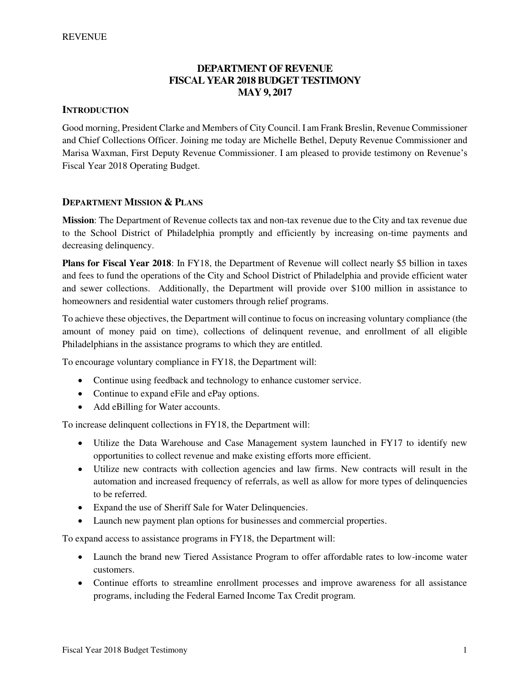## **DEPARTMENT OF REVENUE FISCAL YEAR 2018 BUDGET TESTIMONY MAY 9, 2017**

#### **INTRODUCTION**

Good morning, President Clarke and Members of City Council. I am Frank Breslin, Revenue Commissioner and Chief Collections Officer. Joining me today are Michelle Bethel, Deputy Revenue Commissioner and Marisa Waxman, First Deputy Revenue Commissioner. I am pleased to provide testimony on Revenue's Fiscal Year 2018 Operating Budget.

#### **DEPARTMENT MISSION & PLANS**

**Mission**: The Department of Revenue collects tax and non-tax revenue due to the City and tax revenue due to the School District of Philadelphia promptly and efficiently by increasing on-time payments and decreasing delinquency.

**Plans for Fiscal Year 2018**: In FY18, the Department of Revenue will collect nearly \$5 billion in taxes and fees to fund the operations of the City and School District of Philadelphia and provide efficient water and sewer collections. Additionally, the Department will provide over \$100 million in assistance to homeowners and residential water customers through relief programs.

To achieve these objectives, the Department will continue to focus on increasing voluntary compliance (the amount of money paid on time), collections of delinquent revenue, and enrollment of all eligible Philadelphians in the assistance programs to which they are entitled.

To encourage voluntary compliance in FY18, the Department will:

- Continue using feedback and technology to enhance customer service.
- Continue to expand eFile and ePay options.
- Add eBilling for Water accounts.

To increase delinquent collections in FY18, the Department will:

- Utilize the Data Warehouse and Case Management system launched in FY17 to identify new opportunities to collect revenue and make existing efforts more efficient.
- Utilize new contracts with collection agencies and law firms. New contracts will result in the automation and increased frequency of referrals, as well as allow for more types of delinquencies to be referred.
- Expand the use of Sheriff Sale for Water Delinquencies.
- Launch new payment plan options for businesses and commercial properties.

To expand access to assistance programs in FY18, the Department will:

- Launch the brand new Tiered Assistance Program to offer affordable rates to low-income water customers.
- Continue efforts to streamline enrollment processes and improve awareness for all assistance programs, including the Federal Earned Income Tax Credit program.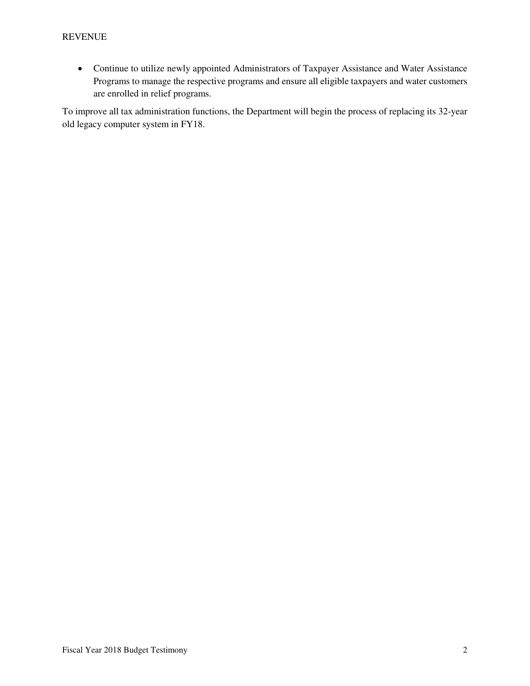Continue to utilize newly appointed Administrators of Taxpayer Assistance and Water Assistance Programs to manage the respective programs and ensure all eligible taxpayers and water customers are enrolled in relief programs.

To improve all tax administration functions, the Department will begin the process of replacing its 32-year old legacy computer system in FY18.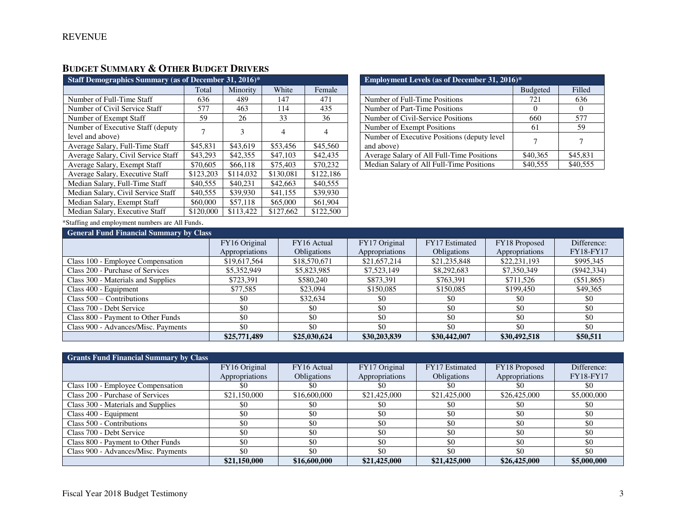# **BUDGET SUMMARY & OTHER BUDGET DRIVERS**

| Staff Demographics Summary (as of December 31, 2016)*  |           |           |           |           |  |  |  |  |
|--------------------------------------------------------|-----------|-----------|-----------|-----------|--|--|--|--|
|                                                        | Total     | Minority  | White     | Female    |  |  |  |  |
| Number of Full-Time Staff                              | 636       | 489       | 147       | 471       |  |  |  |  |
| Number of Civil Service Staff                          | 577       | 463       | 114       | 435       |  |  |  |  |
| Number of Exempt Staff                                 | 59        | 26        | 33        | 36        |  |  |  |  |
| Number of Executive Staff (deputy)<br>level and above) |           | 3         | 4         | 4         |  |  |  |  |
| Average Salary, Full-Time Staff                        | \$45,831  | \$43,619  | \$53,456  | \$45,560  |  |  |  |  |
| Average Salary, Civil Service Staff                    | \$43,293  | \$42,355  | \$47,103  | \$42,435  |  |  |  |  |
| Average Salary, Exempt Staff                           | \$70,605  | \$66,118  | \$75,403  | \$70,232  |  |  |  |  |
| Average Salary, Executive Staff                        | \$123,203 | \$114,032 | \$130,081 | \$122,186 |  |  |  |  |
| Median Salary, Full-Time Staff                         | \$40,555  | \$40,231  | \$42,663  | \$40,555  |  |  |  |  |
| Median Salary, Civil Service Staff                     | \$40,555  | \$39,930  | \$41,155  | \$39,930  |  |  |  |  |
| Median Salary, Exempt Staff                            | \$60,000  | \$57,118  | \$65,000  | \$61,904  |  |  |  |  |
| Median Salary, Executive Staff                         | \$120,000 | \$113.422 | \$127,662 | \$122,500 |  |  |  |  |

| <b>Employment Levels (as of December 31, 2016)*</b> |                 |          |  |  |  |  |
|-----------------------------------------------------|-----------------|----------|--|--|--|--|
|                                                     | <b>Budgeted</b> | Filled   |  |  |  |  |
| Number of Full-Time Positions                       | 721             | 636      |  |  |  |  |
| Number of Part-Time Positions                       |                 |          |  |  |  |  |
| Number of Civil-Service Positions                   | 660             | 577      |  |  |  |  |
| Number of Exempt Positions                          | 61              | 59       |  |  |  |  |
| Number of Executive Positions (deputy level)        |                 |          |  |  |  |  |
| and above)                                          |                 |          |  |  |  |  |
| Average Salary of All Full-Time Positions           | \$40,365        | \$45,831 |  |  |  |  |
| Median Salary of All Full-Time Positions            | \$40,555        | \$40,555 |  |  |  |  |

\*Staffing and employment numbers are All Funds.

| <b>General Fund Financial Summary by Class</b> |                |                    |                |                    |                |                  |
|------------------------------------------------|----------------|--------------------|----------------|--------------------|----------------|------------------|
|                                                | FY16 Original  | FY16 Actual        | FY17 Original  | FY17 Estimated     | FY18 Proposed  | Difference:      |
|                                                | Appropriations | <b>Obligations</b> | Appropriations | <b>Obligations</b> | Appropriations | <b>FY18-FY17</b> |
| Class 100 - Employee Compensation              | \$19,617,564   | \$18,570,671       | \$21,657,214   | \$21,235,848       | \$22,231,193   | \$995,345        |
| Class 200 - Purchase of Services               | \$5,352,949    | \$5,823,985        | \$7,523,149    | \$8,292,683        | \$7,350,349    | $(\$942,334)$    |
| Class 300 - Materials and Supplies             | \$723,391      | \$580,240          | \$873,391      | \$763,391          | \$711,526      | $($ \$51,865)    |
| Class 400 - Equipment                          | \$77,585       | \$23,094           | \$150,085      | \$150,085          | \$199,450      | \$49,365         |
| Class $500 -$ Contributions                    | \$0            | \$32,634           | \$0            | \$0                | \$0            | \$0              |
| Class 700 - Debt Service                       | \$0            | \$0                | \$0            | \$0                | \$0            | \$0              |
| Class 800 - Payment to Other Funds             | \$0            | \$0                | \$0            | \$0                | \$0            | \$0              |
| Class 900 - Advances/Misc. Payments            | \$0            | \$0                | \$0            | \$0                | \$0            | \$0              |
|                                                | \$25,771,489   | \$25,030,624       | \$30,203,839   | \$30,442,007       | \$30,492,518   | \$50,511         |

| <b>Grants Fund Financial Summary by Class</b> |                |                    |                |                    |                |             |
|-----------------------------------------------|----------------|--------------------|----------------|--------------------|----------------|-------------|
|                                               | FY16 Original  | FY16 Actual        | FY17 Original  | FY17 Estimated     | FY18 Proposed  | Difference: |
|                                               | Appropriations | <b>Obligations</b> | Appropriations | <b>Obligations</b> | Appropriations | FY18-FY17   |
| Class 100 - Employee Compensation             | \$0            |                    | -80            | 80                 |                | \$0         |
| Class 200 - Purchase of Services              | \$21,150,000   | \$16,600,000       | \$21,425,000   | \$21,425,000       | \$26,425,000   | \$5,000,000 |
| Class 300 - Materials and Supplies            | \$0            | \$0                | \$0            | \$0                | \$0            | \$0         |
| Class 400 - Equipment                         | \$0            | \$0                | \$0            | \$0                | \$0            | \$0         |
| Class 500 - Contributions                     | \$0            | \$0                | \$0            | \$0                | \$0            | \$0         |
| Class 700 - Debt Service                      | \$0            | \$0                | \$0            | \$0                | \$0            | \$0         |
| Class 800 - Payment to Other Funds            | \$0            | \$0                | \$0            | \$0                | \$0            | \$0         |
| Class 900 - Advances/Misc. Payments           | \$0            | \$0                | \$0            | \$0                | \$0            | \$0         |
|                                               | \$21,150,000   | \$16,600,000       | \$21,425,000   | \$21,425,000       | \$26,425,000   | \$5,000,000 |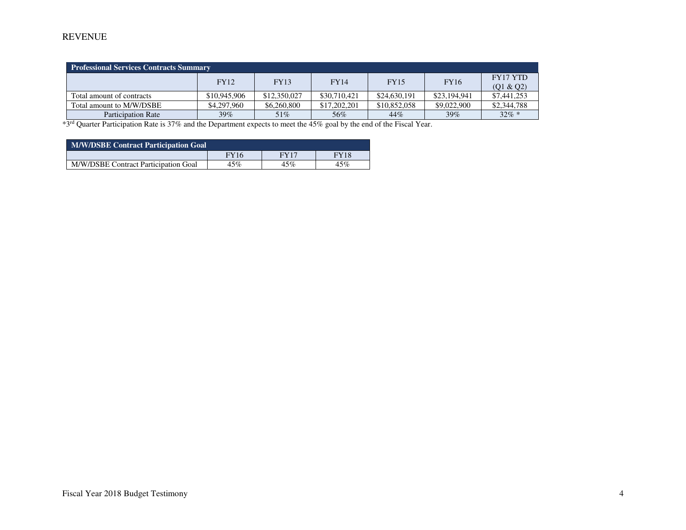## REVENUE

| <b>Professional Services Contracts Summary</b> |              |              |              |              |              |             |  |  |  |
|------------------------------------------------|--------------|--------------|--------------|--------------|--------------|-------------|--|--|--|
|                                                | <b>FY12</b>  | <b>FY13</b>  | <b>FY14</b>  | <b>FY15</b>  | <b>FY16</b>  | FY17 YTD    |  |  |  |
|                                                |              |              |              |              |              | (Q1 & Q2)   |  |  |  |
| Total amount of contracts                      | \$10,945,906 | \$12,350,027 | \$30,710,421 | \$24,630,191 | \$23,194,941 | \$7,441,253 |  |  |  |
| Total amount to M/W/DSBE                       | \$4,297,960  | \$6,260,800  | \$17,202,201 | \$10,852,058 | \$9,022,900  | \$2,344,788 |  |  |  |
| Participation Rate                             | $39\%$       | 51%          | 56%          | 44%          | $39\%$       | $32\% *$    |  |  |  |

\*3rd Quarter Participation Rate is 37% and the Department expects to meet the 45% goal by the end of the Fiscal Year.

| <b>M/W/DSBE Contract Participation Goal</b> |             |      |             |  |  |  |  |
|---------------------------------------------|-------------|------|-------------|--|--|--|--|
|                                             | <b>FY16</b> | FY17 | <b>FY18</b> |  |  |  |  |
| M/W/DSBE Contract Participation Goal        | 45%         | 45%  | 45%         |  |  |  |  |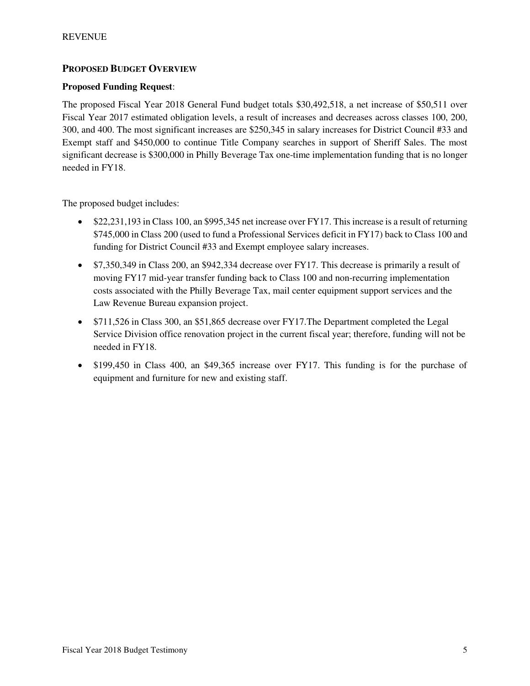## **PROPOSED BUDGET OVERVIEW**

#### **Proposed Funding Request**:

The proposed Fiscal Year 2018 General Fund budget totals \$30,492,518, a net increase of \$50,511 over Fiscal Year 2017 estimated obligation levels, a result of increases and decreases across classes 100, 200, 300, and 400. The most significant increases are \$250,345 in salary increases for District Council #33 and Exempt staff and \$450,000 to continue Title Company searches in support of Sheriff Sales. The most significant decrease is \$300,000 in Philly Beverage Tax one-time implementation funding that is no longer needed in FY18.

The proposed budget includes:

- \$22,231,193 in Class 100, an \$995,345 net increase over FY17. This increase is a result of returning \$745,000 in Class 200 (used to fund a Professional Services deficit in FY17) back to Class 100 and funding for District Council #33 and Exempt employee salary increases.
- \$7,350,349 in Class 200, an \$942,334 decrease over FY17. This decrease is primarily a result of moving FY17 mid-year transfer funding back to Class 100 and non-recurring implementation costs associated with the Philly Beverage Tax, mail center equipment support services and the Law Revenue Bureau expansion project.
- \$711,526 in Class 300, an \$51,865 decrease over FY17.The Department completed the Legal Service Division office renovation project in the current fiscal year; therefore, funding will not be needed in FY18.
- \$199,450 in Class 400, an \$49,365 increase over FY17. This funding is for the purchase of equipment and furniture for new and existing staff.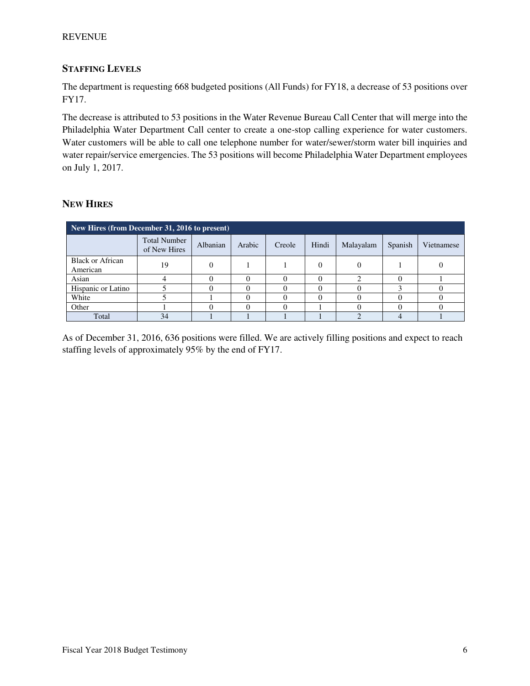#### REVENUE

## **STAFFING LEVELS**

The department is requesting 668 budgeted positions (All Funds) for FY18, a decrease of 53 positions over FY17.

The decrease is attributed to 53 positions in the Water Revenue Bureau Call Center that will merge into the Philadelphia Water Department Call center to create a one-stop calling experience for water customers. Water customers will be able to call one telephone number for water/sewer/storm water bill inquiries and water repair/service emergencies. The 53 positions will become Philadelphia Water Department employees on July 1, 2017.

#### **NEW HIRES**

| New Hires (from December 31, 2016 to present) |                                     |          |        |        |       |           |         |            |  |
|-----------------------------------------------|-------------------------------------|----------|--------|--------|-------|-----------|---------|------------|--|
|                                               | <b>Total Number</b><br>of New Hires | Albanian | Arabic | Creole | Hindi | Malayalam | Spanish | Vietnamese |  |
| <b>Black or African</b><br>American           | 19                                  |          |        |        |       |           |         |            |  |
| Asian                                         |                                     |          |        |        |       |           |         |            |  |
| Hispanic or Latino                            |                                     |          |        |        |       |           |         |            |  |
| White                                         |                                     |          |        |        |       |           |         |            |  |
| Other                                         |                                     |          |        |        |       |           |         |            |  |
| Total                                         | 34                                  |          |        |        |       |           |         |            |  |

As of December 31, 2016, 636 positions were filled. We are actively filling positions and expect to reach staffing levels of approximately 95% by the end of FY17.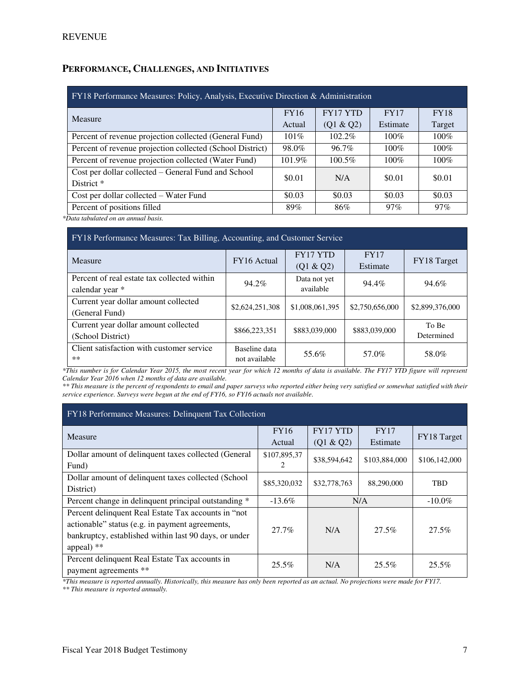# **PERFORMANCE, CHALLENGES, AND INITIATIVES**

| FY18 Performance Measures: Policy, Analysis, Executive Direction & Administration |             |                 |             |             |  |  |  |
|-----------------------------------------------------------------------------------|-------------|-----------------|-------------|-------------|--|--|--|
| Measure                                                                           | <b>FY16</b> | <b>FY17 YTD</b> | <b>FY17</b> | <b>FY18</b> |  |  |  |
|                                                                                   | Actual      | (Q1 & Q2)       | Estimate    | Target      |  |  |  |
| Percent of revenue projection collected (General Fund)                            | $101\%$     | 102.2%          | $100\%$     | $100\%$     |  |  |  |
| Percent of revenue projection collected (School District)                         | 98.0%       | 96.7%           | $100\%$     | $100\%$     |  |  |  |
| Percent of revenue projection collected (Water Fund)                              | 101.9%      | 100.5%          | $100\%$     | $100\%$     |  |  |  |
| Cost per dollar collected – General Fund and School                               | \$0.01      | N/A             | \$0.01      | \$0.01      |  |  |  |
| District <sup>*</sup>                                                             |             |                 |             |             |  |  |  |
| Cost per dollar collected – Water Fund                                            | \$0.03      | \$0.03          | \$0.03      | \$0.03      |  |  |  |
| Percent of positions filled                                                       | 89%         | 86%             | 97%         | $97\%$      |  |  |  |

*\*Data tabulated on an annual basis.* 

| FY18 Performance Measures: Tax Billing, Accounting, and Customer Service |                                |                           |                         |                     |  |  |  |
|--------------------------------------------------------------------------|--------------------------------|---------------------------|-------------------------|---------------------|--|--|--|
| Measure                                                                  | FY16 Actual                    | FY17 YTD<br>(Q1 & Q2)     | <b>FY17</b><br>Estimate | FY18 Target         |  |  |  |
| Percent of real estate tax collected within<br>calendar year *           | 94.2%                          | Data not yet<br>available | 94.4%                   | 94.6%               |  |  |  |
| Current year dollar amount collected<br>(General Fund)                   | \$2,624,251,308                | \$1,008,061,395           | \$2,750,656,000         | \$2,899,376,000     |  |  |  |
| Current year dollar amount collected<br>(School District)                | \$866,223,351                  | \$883,039,000             | \$883,039,000           | To Be<br>Determined |  |  |  |
| Client satisfaction with customer service<br>$***$                       | Baseline data<br>not available | 55.6%                     | 57.0%                   | 58.0%               |  |  |  |

*\*This number is for Calendar Year 2015, the most recent year for which 12 months of data is available. The FY17 YTD figure will represent Calendar Year 2016 when 12 months of data are available.*

*\*\* This measure is the percent of respondents to email and paper surveys who reported either being very satisfied or somewhat satisfied with their service experience. Surveys were begun at the end of FY16, so FY16 actuals not available*.

| <b>FY18 Performance Measures: Delinquent Tax Collection</b> |              |                 |               |               |  |  |  |
|-------------------------------------------------------------|--------------|-----------------|---------------|---------------|--|--|--|
| Measure                                                     | <b>FY16</b>  | <b>FY17 YTD</b> | <b>FY17</b>   | FY18 Target   |  |  |  |
|                                                             | Actual       | (Q1 & Q2)       | Estimate      |               |  |  |  |
| Dollar amount of delinquent taxes collected (General        | \$107,895,37 | \$38,594,642    | \$103,884,000 | \$106,142,000 |  |  |  |
| Fund)                                                       |              |                 |               |               |  |  |  |
| Dollar amount of delinquent taxes collected (School)        | \$85,320,032 | \$32,778,763    | 88,290,000    | <b>TBD</b>    |  |  |  |
| District)                                                   |              |                 |               |               |  |  |  |
| Percent change in delinquent principal outstanding *        | $-13.6\%$    | N/A             |               | $-10.0\%$     |  |  |  |
| Percent delinquent Real Estate Tax accounts in "not"        |              |                 |               |               |  |  |  |
| actionable" status (e.g. in payment agreements,             | 27.7%        | N/A             | 27.5%         | 27.5%         |  |  |  |
| bankruptcy, established within last 90 days, or under       |              |                 |               |               |  |  |  |
| appeal) **                                                  |              |                 |               |               |  |  |  |
| Percent delinquent Real Estate Tax accounts in              | 25.5%        | N/A             | $25.5\%$      | 25.5%         |  |  |  |
| payment agreements **                                       |              |                 |               |               |  |  |  |

*\*This measure is reported annually. Historically, this measure has only been reported as an actual. No projections were made for FY17.* 

*\*\* This measure is reported annually.*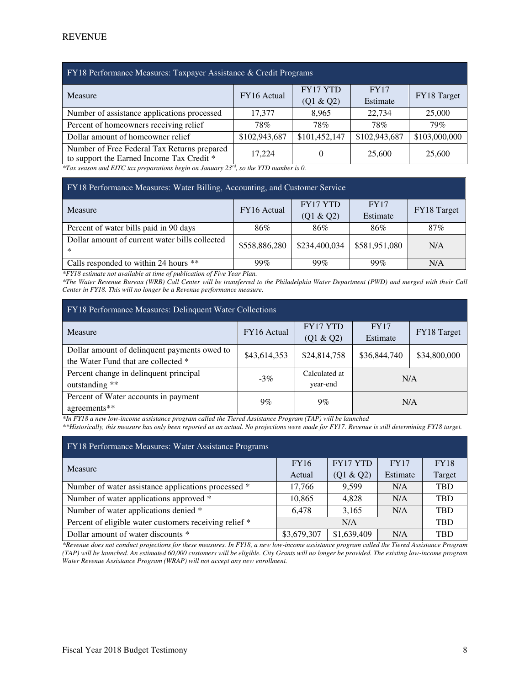| FY18 Performance Measures: Taxpayer Assistance & Credit Programs                                                                  |               |               |               |               |  |  |  |
|-----------------------------------------------------------------------------------------------------------------------------------|---------------|---------------|---------------|---------------|--|--|--|
| Measure                                                                                                                           | FY16 Actual   | FY17 YTD      | FY17          |               |  |  |  |
|                                                                                                                                   |               | (Q1 & Q2)     | Estimate      | FY18 Target   |  |  |  |
| Number of assistance applications processed                                                                                       | 17.377        | 8.965         | 22,734        | 25,000        |  |  |  |
| Percent of homeowners receiving relief                                                                                            | 78%           | 78%           | 78%           | 79%           |  |  |  |
| Dollar amount of homeowner relief                                                                                                 | \$102,943,687 | \$101,452,147 | \$102,943,687 | \$103,000,000 |  |  |  |
| Number of Free Federal Tax Returns prepared                                                                                       | 17.224        |               | 25,600        | 25,600        |  |  |  |
| to support the Earned Income Tax Credit *<br>*Tax season and FITC tax preparations begin on January 23rd, so the VTD number is 0. |               |               |               |               |  |  |  |

*\*Tax season and EITC tax preparations begin on January 23 rd, so the YTD number is 0.* 

| FY18 Performance Measures: Water Billing, Accounting, and Customer Service |               |                 |               |             |  |  |  |
|----------------------------------------------------------------------------|---------------|-----------------|---------------|-------------|--|--|--|
| Measure                                                                    | FY16 Actual   | <b>FY17 YTD</b> | <b>FY17</b>   | FY18 Target |  |  |  |
|                                                                            |               | (Q1 & Q2)       | Estimate      |             |  |  |  |
| Percent of water bills paid in 90 days                                     | 86%           | 86%             | 86%           | 87%         |  |  |  |
| Dollar amount of current water bills collected<br>$\ast$                   | \$558,886,280 | \$234,400,034   | \$581,951,080 | N/A         |  |  |  |
| Calls responded to within 24 hours **                                      | 99%           | 99%             | 99%           | N/A         |  |  |  |

*\*FY18 estimate not available at time of publication of Five Year Plan.* 

*\*The Water Revenue Bureau (WRB) Call Center will be transferred to the Philadelphia Water Department (PWD) and merged with their Call Center in FY18. This will no longer be a Revenue performance measure.* 

| FY18 Performance Measures: Delinquent Water Collections                             |              |                              |                         |              |  |  |  |  |  |  |  |  |  |
|-------------------------------------------------------------------------------------|--------------|------------------------------|-------------------------|--------------|--|--|--|--|--|--|--|--|--|
| Measure                                                                             | FY16 Actual  | <b>FY17 YTD</b><br>(Q1 & Q2) | <b>FY17</b><br>Estimate | FY18 Target  |  |  |  |  |  |  |  |  |  |
| Dollar amount of delinquent payments owed to<br>the Water Fund that are collected * | \$43,614,353 | \$24,814,758                 | \$36,844,740            | \$34,800,000 |  |  |  |  |  |  |  |  |  |
| Percent change in delinquent principal<br>outstanding **                            | $-3\%$       | Calculated at<br>year-end    | N/A                     |              |  |  |  |  |  |  |  |  |  |
| Percent of Water accounts in payment<br>agreements**                                | $9\%$        | $9\%$                        | N/A                     |              |  |  |  |  |  |  |  |  |  |

*\*In FY18 a new low-income assistance program called the Tiered Assistance Program (TAP) will be launched* 

*\*\*Historically, this measure has only been reported as an actual. No projections were made for FY17. Revenue is still determining FY18 target.* 

| FY18 Performance Measures: Water Assistance Programs   |             |                 |          |             |  |  |  |  |  |  |  |  |  |
|--------------------------------------------------------|-------------|-----------------|----------|-------------|--|--|--|--|--|--|--|--|--|
| <b>Measure</b>                                         | <b>FY16</b> | <b>FY17 YTD</b> | FY17     | <b>FY18</b> |  |  |  |  |  |  |  |  |  |
|                                                        | Actual      | (Q1 & Q2)       | Estimate | Target      |  |  |  |  |  |  |  |  |  |
| Number of water assistance applications processed *    | 17,766      | 9.599           | N/A      | <b>TBD</b>  |  |  |  |  |  |  |  |  |  |
| Number of water applications approved *                | 10,865      | 4.828           | N/A      | <b>TBD</b>  |  |  |  |  |  |  |  |  |  |
| Number of water applications denied *                  | 6,478       | 3,165           | N/A      | <b>TBD</b>  |  |  |  |  |  |  |  |  |  |
| Percent of eligible water customers receiving relief * |             | N/A             |          | <b>TBD</b>  |  |  |  |  |  |  |  |  |  |
| Dollar amount of water discounts *                     | \$3,679,307 | \$1,639,409     | N/A      | <b>TBD</b>  |  |  |  |  |  |  |  |  |  |

*\*Revenue does not conduct projections for these measures. In FY18, a new low-income assistance program called the Tiered Assistance Program (TAP) will be launched. An estimated 60,000 customers will be eligible. City Grants will no longer be provided. The existing low-income program Water Revenue Assistance Program (WRAP) will not accept any new enrollment.*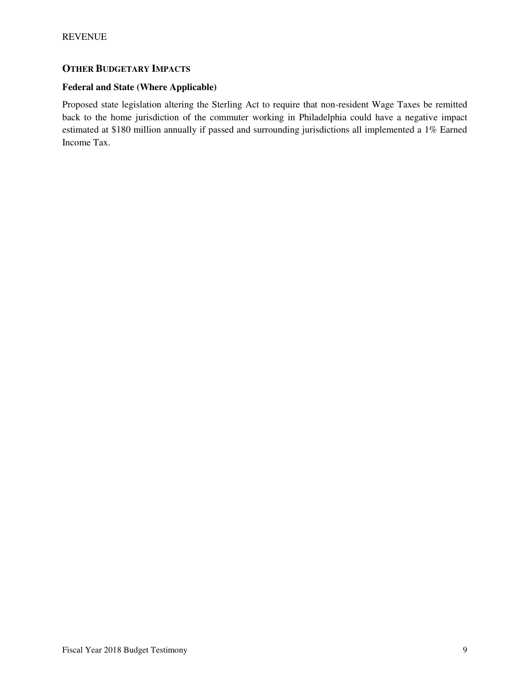## **OTHER BUDGETARY IMPACTS**

#### **Federal and State (Where Applicable)**

Proposed state legislation altering the Sterling Act to require that non-resident Wage Taxes be remitted back to the home jurisdiction of the commuter working in Philadelphia could have a negative impact estimated at \$180 million annually if passed and surrounding jurisdictions all implemented a 1% Earned Income Tax.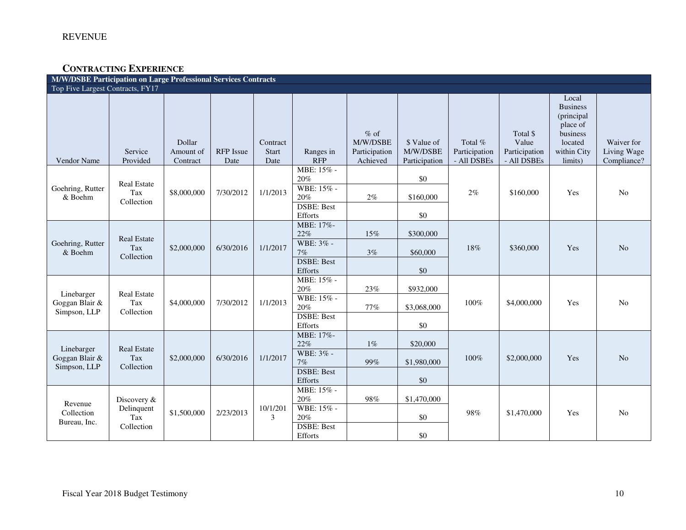## **CONTRACTING EXPERIENCE**

| <b>M/W/DSBE Participation on Large Professional Services Contracts</b> |                                         |                                 |                          |                                  |                              |                                                 |                                          |                                           |                                                   |                                                                                                     |                                          |  |  |
|------------------------------------------------------------------------|-----------------------------------------|---------------------------------|--------------------------|----------------------------------|------------------------------|-------------------------------------------------|------------------------------------------|-------------------------------------------|---------------------------------------------------|-----------------------------------------------------------------------------------------------------|------------------------------------------|--|--|
| Top Five Largest Contracts, FY17                                       |                                         |                                 |                          |                                  |                              |                                                 |                                          |                                           |                                                   |                                                                                                     |                                          |  |  |
| Vendor Name                                                            | Service<br>Provided                     | Dollar<br>Amount of<br>Contract | <b>RFP</b> Issue<br>Date | Contract<br><b>Start</b><br>Date | Ranges in<br><b>RFP</b>      | $%$ of<br>M/W/DSBE<br>Participation<br>Achieved | \$ Value of<br>M/W/DSBE<br>Participation | Total $%$<br>Participation<br>- All DSBEs | Total \$<br>Value<br>Participation<br>- All DSBEs | Local<br><b>Business</b><br>(principal<br>place of<br>business<br>located<br>within City<br>limits) | Waiver for<br>Living Wage<br>Compliance? |  |  |
|                                                                        |                                         |                                 |                          |                                  | MBE: 15% -                   |                                                 |                                          |                                           |                                                   |                                                                                                     |                                          |  |  |
|                                                                        | Real Estate                             |                                 |                          |                                  | 20%<br>WBE: 15% -            |                                                 | \$0                                      |                                           |                                                   |                                                                                                     |                                          |  |  |
| Goehring, Rutter<br>& Boehm                                            | Tax<br>Collection                       | \$8,000,000                     | 7/30/2012                | 1/1/2013                         | 20%                          | $2\%$                                           | \$160,000                                | 2%                                        | \$160,000                                         | Yes                                                                                                 | No                                       |  |  |
|                                                                        |                                         |                                 |                          |                                  | <b>DSBE: Best</b>            |                                                 |                                          |                                           |                                                   |                                                                                                     |                                          |  |  |
|                                                                        |                                         |                                 |                          |                                  | Efforts                      |                                                 | \$0                                      |                                           |                                                   |                                                                                                     |                                          |  |  |
|                                                                        |                                         |                                 |                          |                                  | MBE: 17%-<br>22%             | 15%                                             | \$300,000                                |                                           | \$360,000                                         | Yes                                                                                                 |                                          |  |  |
| Goehring, Rutter<br>& Boehm                                            | <b>Real Estate</b><br>Tax<br>Collection | \$2,000,000                     | 6/30/2016                | 1/1/2017                         | WBE: 3% -<br>7%              | 3%                                              | \$60,000                                 | 18%                                       |                                                   |                                                                                                     | N <sub>o</sub>                           |  |  |
|                                                                        |                                         |                                 |                          |                                  | <b>DSBE: Best</b><br>Efforts |                                                 | \$0                                      |                                           |                                                   |                                                                                                     |                                          |  |  |
|                                                                        |                                         | \$4,000,000                     |                          | 1/1/2013                         | MBE: 15% -<br>$20\%$         | $23\%$                                          | \$932,000                                |                                           | \$4,000,000                                       |                                                                                                     |                                          |  |  |
| Linebarger                                                             | <b>Real Estate</b><br>Tax<br>Collection |                                 | 7/30/2012                |                                  | WBE: 15% -                   |                                                 |                                          |                                           |                                                   |                                                                                                     |                                          |  |  |
| Goggan Blair &<br>Simpson, LLP                                         |                                         |                                 |                          |                                  | 20%                          | $77\%$                                          | \$3,068,000                              | 100%                                      |                                                   | Yes                                                                                                 | No                                       |  |  |
|                                                                        |                                         |                                 |                          |                                  | <b>DSBE: Best</b><br>Efforts |                                                 | \$0                                      |                                           |                                                   |                                                                                                     |                                          |  |  |
|                                                                        |                                         |                                 |                          |                                  | MBE: 17%-                    |                                                 |                                          |                                           |                                                   |                                                                                                     |                                          |  |  |
| Linebarger                                                             | <b>Real Estate</b>                      |                                 |                          |                                  | 22%                          | $1\%$                                           | \$20,000                                 |                                           |                                                   |                                                                                                     |                                          |  |  |
| Goggan Blair &<br>Simpson, LLP                                         | Tax<br>Collection                       | \$2,000,000                     | 6/30/2016                | 1/1/2017                         | WBE: 3% -<br>7%              | 99%                                             | \$1,980,000                              | 100%                                      | \$2,000,000                                       | Yes                                                                                                 | N <sub>o</sub>                           |  |  |
|                                                                        |                                         |                                 |                          |                                  | <b>DSBE: Best</b>            |                                                 |                                          |                                           |                                                   |                                                                                                     |                                          |  |  |
|                                                                        |                                         |                                 |                          |                                  | Efforts<br>MBE: 15% -        |                                                 | \$0                                      |                                           |                                                   |                                                                                                     |                                          |  |  |
|                                                                        | Discovery &                             |                                 |                          |                                  | 20%                          | 98%                                             | \$1,470,000                              |                                           |                                                   |                                                                                                     |                                          |  |  |
| Revenue<br>Collection                                                  | Delinquent                              | \$1,500,000                     | 2/23/2013                | 10/1/201<br>3                    | WBE: 15% -                   |                                                 |                                          | 98%                                       | \$1,470,000                                       | Yes                                                                                                 | No                                       |  |  |
| Bureau, Inc.                                                           | Tax                                     |                                 |                          |                                  | 20%                          |                                                 | \$0                                      |                                           |                                                   |                                                                                                     |                                          |  |  |
|                                                                        | Collection                              |                                 |                          |                                  | <b>DSBE: Best</b><br>Efforts |                                                 | \$0                                      |                                           |                                                   |                                                                                                     |                                          |  |  |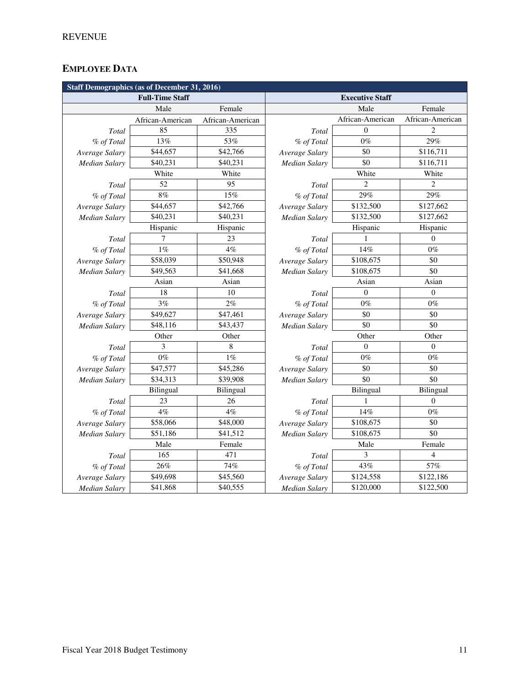# **EMPLOYEE DATA**

| <b>Staff Demographics (as of December 31, 2016)</b> |                        |                  |                |                        |                  |  |  |  |  |  |  |
|-----------------------------------------------------|------------------------|------------------|----------------|------------------------|------------------|--|--|--|--|--|--|
|                                                     | <b>Full-Time Staff</b> |                  |                | <b>Executive Staff</b> |                  |  |  |  |  |  |  |
|                                                     | Male                   | Female           |                | Male                   | Female           |  |  |  |  |  |  |
|                                                     | African-American       | African-American |                | African-American       | African-American |  |  |  |  |  |  |
| Total                                               | 85                     | 335              | Total          | $\Omega$               | $\overline{c}$   |  |  |  |  |  |  |
| % of Total                                          | 13%                    | 53%              | % of Total     | $0\%$                  | 29%              |  |  |  |  |  |  |
| Average Salary                                      | \$44,657               | \$42,766         | Average Salary | \$0                    | \$116,711        |  |  |  |  |  |  |
| <b>Median Salary</b>                                | \$40,231               | \$40,231         | Median Salary  | \$0                    | \$116,711        |  |  |  |  |  |  |
|                                                     | White                  | White            |                | White                  | White            |  |  |  |  |  |  |
| Total                                               | 52                     | 95               | Total          | $\overline{c}$         | $\overline{c}$   |  |  |  |  |  |  |
| % of Total                                          | $8\%$                  | 15%              | % of Total     | 29%                    | 29%              |  |  |  |  |  |  |
| Average Salary                                      | \$44,657               | \$42,766         | Average Salary | \$132,500              | \$127,662        |  |  |  |  |  |  |
| Median Salary                                       | \$40,231               | \$40,231         | Median Salary  | \$132,500              | \$127,662        |  |  |  |  |  |  |
|                                                     | Hispanic               | Hispanic         |                | Hispanic               | Hispanic         |  |  |  |  |  |  |
| Total                                               | 7                      | 23               | Total          |                        | $\theta$         |  |  |  |  |  |  |
| % of Total                                          | $1\%$                  | 4%               | % of Total     | 14%                    | $0\%$            |  |  |  |  |  |  |
| Average Salary                                      | \$58,039               | \$50,948         | Average Salary | \$108,675              | \$0              |  |  |  |  |  |  |
| <b>Median Salary</b>                                | \$49,563               | \$41,668         | Median Salary  | \$108,675              | \$0              |  |  |  |  |  |  |
|                                                     | Asian                  | Asian            |                | Asian                  | Asian            |  |  |  |  |  |  |
| Total                                               | 18                     | 10               | <b>Total</b>   | $\theta$               | $\overline{0}$   |  |  |  |  |  |  |
| % of Total                                          | 3%                     | 2%               | % of Total     | $0\%$                  | $0\%$            |  |  |  |  |  |  |
| Average Salary                                      | \$49,627               | \$47,461         | Average Salary | \$0                    | \$0              |  |  |  |  |  |  |
| Median Salary                                       | \$48,116               | \$43,437         | Median Salary  | \$0                    | \$0              |  |  |  |  |  |  |
|                                                     | Other                  | Other            |                | Other                  | Other            |  |  |  |  |  |  |
| Total                                               | 3                      | 8                | Total          | $\mathbf{0}$           | $\overline{0}$   |  |  |  |  |  |  |
| % of Total                                          | $0\%$                  | 1%               | % of Total     | $0\%$                  | $0\%$            |  |  |  |  |  |  |
| Average Salary                                      | \$47,577               | \$45,286         | Average Salary | \$0                    | \$0              |  |  |  |  |  |  |
| <b>Median Salary</b>                                | \$34,313               | \$39,908         | Median Salary  | \$0                    | \$0              |  |  |  |  |  |  |
|                                                     | Bilingual              | Bilingual        |                | Bilingual              | Bilingual        |  |  |  |  |  |  |
| Total                                               | 23                     | 26               | Total          | 1                      | $\mathbf{0}$     |  |  |  |  |  |  |
| % of Total                                          | 4%                     | 4%               | % of Total     | 14%                    | $0\%$            |  |  |  |  |  |  |
| Average Salary                                      | \$58,066               | \$48,000         | Average Salary | \$108,675              | \$0              |  |  |  |  |  |  |
| Median Salary                                       | \$51,186               | \$41,512         | Median Salary  | \$108,675              | \$0              |  |  |  |  |  |  |
|                                                     | Male                   | Female           |                | Male                   | Female           |  |  |  |  |  |  |
| Total                                               | 165                    | 471              | Total          | 3                      | 4                |  |  |  |  |  |  |
| % of Total                                          | 26%                    | 74%              | % of Total     | 43%                    | 57%              |  |  |  |  |  |  |
| Average Salary                                      | \$49,698               | \$45,560         | Average Salary | \$124,558              | \$122,186        |  |  |  |  |  |  |
| <b>Median Salary</b>                                | \$41,868               | \$40,555         | Median Salary  | \$120,000              | \$122,500        |  |  |  |  |  |  |